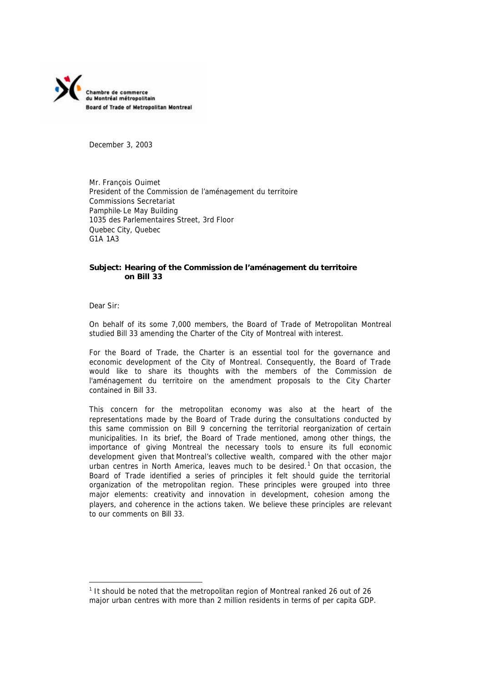

December 3, 2003

Mr. François Ouimet President of the Commission de l'aménagement du territoire Commissions Secretariat Pamphile-Le May Building 1035 des Parlementaires Street, 3rd Floor Quebec City, Quebec G1A 1A3

# **Subject: Hearing of the Commission de l'aménagement du territoire on Bill 33**

Dear Sir:

l

On behalf of its some 7,000 members, the Board of Trade of Metropolitan Montreal studied Bill 33 amending the Charter of the City of Montreal with interest.

For the Board of Trade, the Charter is an essential tool for the governance and economic development of the City of Montreal. Consequently, the Board of Trade would like to share its thoughts with the members of the Commission de l'aménagement du territoire on the amendment proposals to the City Charter contained in Bill 33.

This concern for the metropolitan economy was also at the heart of the representations made by the Board of Trade during the consultations conducted by this same commission on Bill 9 concerning the territorial reorganization of certain municipalities. In its brief, the Board of Trade mentioned, among other things, the importance of giving Montreal the necessary tools to ensure its full economic development given that Montreal's collective wealth, compared with the other major urban centres in North America, leaves much to be desired.<sup>1</sup> On that occasion, the Board of Trade identified a series of principles it felt should guide the territorial organization of the metropolitan region. These principles were grouped into three major elements: creativity and innovation in development, cohesion among the players, and coherence in the actions taken. We believe these principles are relevant to our comments on Bill 33.

<sup>&</sup>lt;sup>1</sup> It should be noted that the metropolitan region of Montreal ranked 26 out of 26 major urban centres with more than 2 million residents in terms of per capita GDP.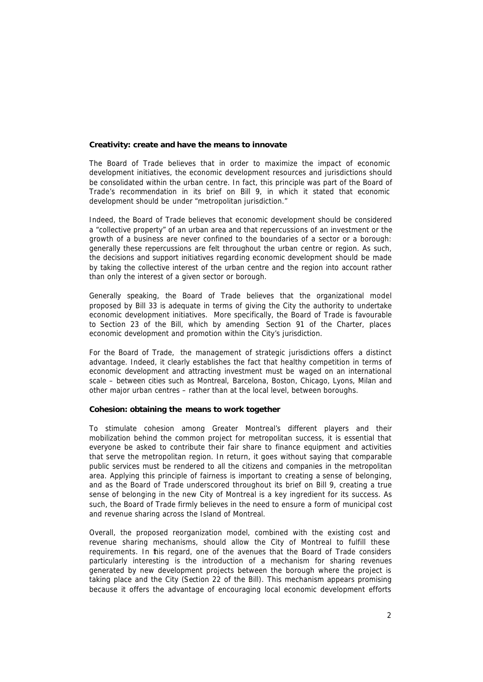## **Creativity: create and have the means to innovate**

The Board of Trade believes that in order to maximize the impact of economic development initiatives, the economic development resources and jurisdictions should be consolidated within the urban centre. In fact, this principle was part of the Board of Trade's recommendation in its brief on Bill 9, in which it stated that economic development should be under "metropolitan jurisdiction."

Indeed, the Board of Trade believes that economic development should be considered a "collective property" of an urban area and that repercussions of an investment or the growth of a business are never confined to the boundaries of a sector or a borough: generally these repercussions are felt throughout the urban centre or region. As such, the decisions and support initiatives regarding economic development should be made by taking the collective interest of the urban centre and the region into account rather than only the interest of a given sector or borough.

Generally speaking, the Board of Trade believes that the organizational model proposed by Bill 33 is adequate in terms of giving the City the authority to undertake economic development initiatives. More specifically, the Board of Trade is favourable to Section 23 of the Bill, which by amending Section 91 of the Charter, places economic development and promotion within the City's jurisdiction.

For the Board of Trade, the management of strategic jurisdictions offers a distinct advantage. Indeed, it clearly establishes the fact that healthy competition in terms of economic development and attracting investment must be waged on an international scale – between cities such as Montreal, Barcelona, Boston, Chicago, Lyons, Milan and other major urban centres – rather than at the local level, between boroughs.

## **Cohesion: obtaining the means to work together**

To stimulate cohesion among Greater Montreal's different players and their mobilization behind the common project for metropolitan success, it is essential that everyone be asked to contribute their fair share to finance equipment and activities that serve the metropolitan region. In return, it goes without saying that comparable public services must be rendered to all the citizens and companies in the metropolitan area. Applying this principle of fairness is important to creating a sense of belonging, and as the Board of Trade underscored throughout its brief on Bill 9, creating a true sense of belonging in the new City of Montreal is a key ingredient for its success. As such, the Board of Trade firmly believes in the need to ensure a form of municipal cost and revenue sharing across the Island of Montreal.

Overall, the proposed reorganization model, combined with the existing cost and revenue sharing mechanisms, should allow the City of Montreal to fulfill these requirements. In this regard, one of the avenues that the Board of Trade considers particularly interesting is the introduction of a mechanism for sharing revenues generated by new development projects between the borough where the project is taking place and the City (Section 22 of the Bill). This mechanism appears promising because it offers the advantage of encouraging local economic development efforts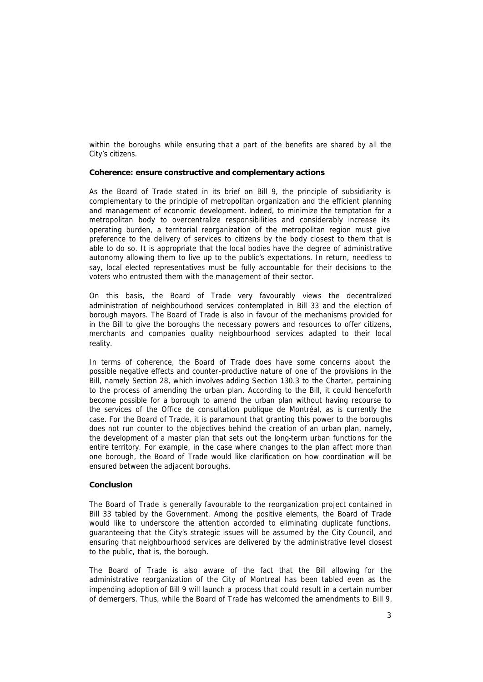within the boroughs while ensuring that a part of the benefits are shared by all the City's citizens.

## **Coherence: ensure constructive and complementary actions**

As the Board of Trade stated in its brief on Bill 9, the principle of subsidiarity is complementary to the principle of metropolitan organization and the efficient planning and management of economic development. Indeed, to minimize the temptation for a metropolitan body to overcentralize responsibilities and considerably increase its operating burden, a territorial reorganization of the metropolitan region must give preference to the delivery of services to citizens by the body closest to them that is able to do so. It is appropriate that the local bodies have the degree of administrative autonomy allowing them to live up to the public's expectations. In return, needless to say, local elected representatives must be fully accountable for their decisions to the voters who entrusted them with the management of their sector.

On this basis, the Board of Trade very favourably views the decentralized administration of neighbourhood services contemplated in Bill 33 and the election of borough mayors. The Board of Trade is also in favour of the mechanisms provided for in the Bill to give the boroughs the necessary powers and resources to offer citizens, merchants and companies quality neighbourhood services adapted to their local reality.

In terms of coherence, the Board of Trade does have some concerns about the possible negative effects and counter-productive nature of one of the provisions in the Bill, namely Section 28, which involves adding Section 130.3 to the Charter, pertaining to the process of amending the urban plan. According to the Bill, it could henceforth become possible for a borough to amend the urban plan without having recourse to the services of the Office de consultation publique de Montréal, as is currently the case. For the Board of Trade, it is paramount that granting this power to the boroughs does not run counter to the objectives behind the creation of an urban plan, namely, the development of a master plan that sets out the long-term urban functions for the entire territory. For example, in the case where changes to the plan affect more than one borough, the Board of Trade would like clarification on how coordination will be ensured between the adjacent boroughs.

## **Conclusion**

The Board of Trade is generally favourable to the reorganization project contained in Bill 33 tabled by the Government. Among the positive elements, the Board of Trade would like to underscore the attention accorded to eliminating duplicate functions, guaranteeing that the City's strategic issues will be assumed by the City Council, and ensuring that neighbourhood services are delivered by the administrative level closest to the public, that is, the borough.

The Board of Trade is also aware of the fact that the Bill allowing for the administrative reorganization of the City of Montreal has been tabled even as the impending adoption of Bill 9 will launch a process that could result in a certain number of demergers. Thus, while the Board of Trade has welcomed the amendments to Bill 9,